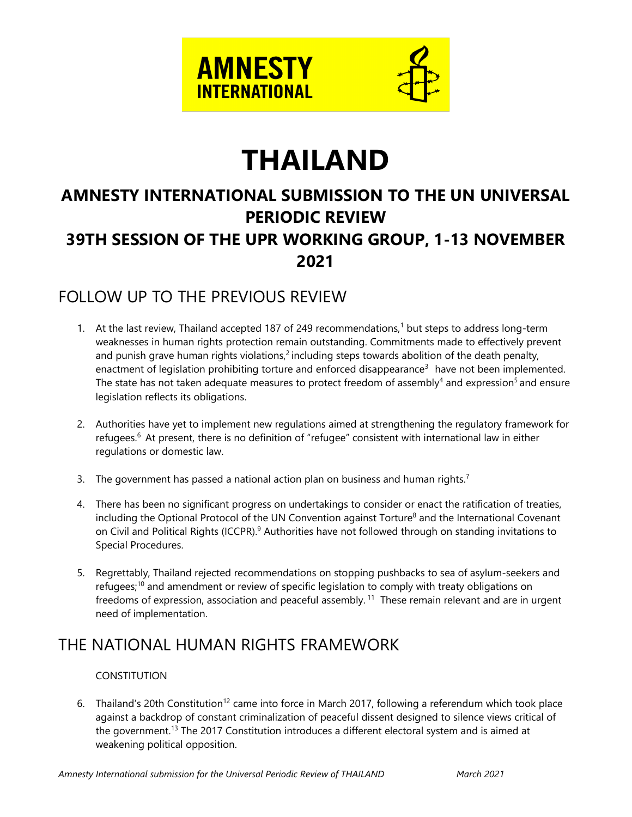

# **THAILAND**

## **AMNESTY INTERNATIONAL SUBMISSION TO THE UN UNIVERSAL PERIODIC REVIEW 39TH SESSION OF THE UPR WORKING GROUP, 1-13 NOVEMBER 2021**

### FOLLOW UP TO THE PREVIOUS REVIEW

- 1.  $\,$  At the last review, Thailand accepted 187 of 249 recommendations, $^1$  but steps to address long-term weaknesses in human rights protection remain outstanding. Commitments made to effectively prevent and punish grave human rights violations,<sup>2</sup> including steps towards abolition of the death penalty, enactment of legislation prohibiting torture and enforced disappearance<sup>3</sup> have not been implemented. The state has not taken adequate measures to protect freedom of assembly<sup>4</sup> and expression<sup>5</sup> and ensure legislation reflects its obligations.
- 2. Authorities have ye<sup>t</sup> to implement new regulations aimed at strengthening the regulatory framework for refugees. 6 At present, there is no definition of "refugee" consistent with international law in either regulations or domestic law.
- 3. The government has passed a national action plan on business and human rights.<sup>7</sup>
- 4. There has been no significant progress on undertakings to consider or enact the ratification of treaties, including the Optional Protocol of the UN Convention against Torture $^8$  and the International Covenant on Civil and Political Rights (ICCPR).<sup>9</sup> Authorities have not followed through on standing invitations to Special Procedures.
- 5. Regrettably, Thailand rejected recommendations on stopping pushbacks to sea of asylum-seekers and refugees;<sup>10</sup> and amendment or review of specific legislation to comply with treaty obligations on freedoms of expression, association and peaceful assembly.<sup>11</sup> These remain relevant and are in urgent need of implementation.

### THE NATIONAL HUMAN RIGHTS FRAMEWORK

#### CONSTITUTION

6. Thailand's 20th Constitution<sup>12</sup> came into force in March 2017, following a referendum which took place against <sup>a</sup> backdrop of constant criminalization of peaceful dissent designed to silence views critical of the government.<sup>13</sup> The 2017 Constitution introduces a different electoral system and is aimed at weakening political opposition.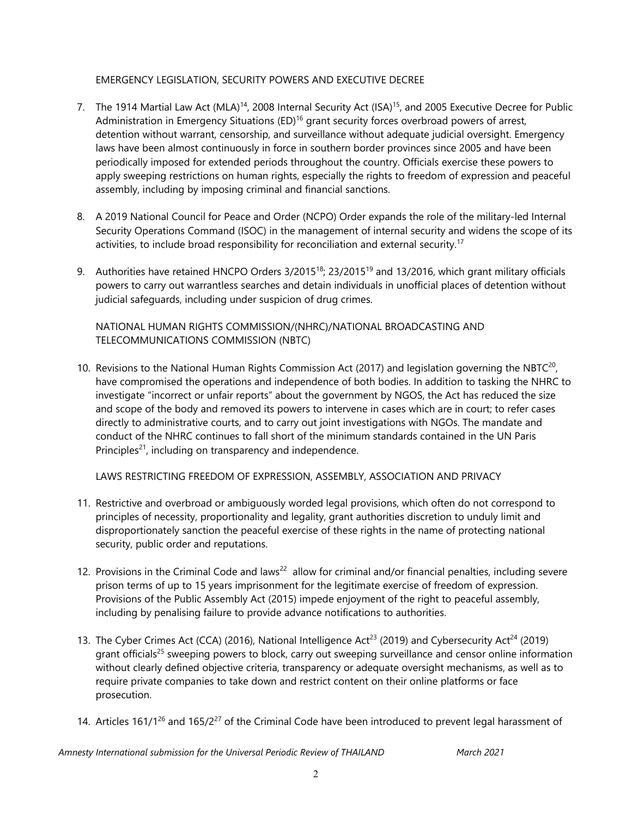#### EMERGENCY LEGISLATION, SECURITY POWERS AND EXECUTIVE DECREE

- 7. The 1914 Martial Law Act (MLA)<sup>14</sup>, 2008 Internal Security Act (ISA)<sup>15</sup>, and 2005 Executive Decree for Public Administration in Emergency Situations (ED)<sup>16</sup> grant security forces overbroad powers of arrest, detention without warrant, censorship, and surveillance without adequate judicial oversight. Emergency laws have been almost continuously in force in southern border provinces since 2005 and have been periodically imposed for extended periods throughout the country. Officials exercise these powers to apply sweeping restrictions on human rights, especially the rights to freedom of expression and peaceful assembly, including by imposing criminal and financial sanctions.
- 8. A 2019 National Council for Peace and Order (NCPO) Order expands the role of the military-led Internal Security Operations Command (ISOC) in the managemen<sup>t</sup> of internal security and widens the scope of its activities, to include broad responsibility for reconciliation and external security.<sup>17</sup>
- 9. Authorities have retained HNCPO Orders 3/2015<sup>18</sup>; 23/2015<sup>19</sup> and 13/2016, which grant military officials powers to carry out warrantless searches and detain individuals in unofficial places of detention without judicial safeguards, including under suspicion of drug crimes.

NATIONAL HUMAN RIGHTS COMMISSION/(NHRC)/NATIONAL BROADCASTING AND TELECOMMUNICATIONS COMMISSION (NBTC)

10. Revisions to the National Human Rights Commission Act (2017) and legislation governing the NBTC $^{\rm 20}$ , have compromised the operations and independence of both bodies. In addition to tasking the NHRC to investigate "incorrect or unfair reports" about the governmen<sup>t</sup> by NGOS, the Act has reduced the size and scope of the body and removed its powers to intervene in cases which are in court; to refer cases directly to administrative courts, and to carry out joint investigations with NGOs. The mandate and conduct of the NHRC continues to fall short of the minimum standards contained in the UN Paris Principles<sup>21</sup>, including on transparency and independence.

LAWS RESTRICTING FREEDOM OF EXPRESSION, ASSEMBLY, ASSOCIATION AND PRIVACY

- 11. Restrictive and overbroad or ambiguously worded legal provisions, which often do not correspond to principles of necessity, proportionality and legality, gran<sup>t</sup> authorities discretion to unduly limit and disproportionately sanction the peaceful exercise of these rights in the name of protecting national security, public order and reputations.
- 12. Provisions in the Criminal Code and laws<sup>22</sup> allow for criminal and/or financial penalties, including severe prison terms of up to 15 years imprisonment for the legitimate exercise of freedom of expression. Provisions of the Public Assembly Act (2015) impede enjoyment of the right to peaceful assembly, including by penalising failure to provide advance notifications to authorities.
- 13. The Cyber Crimes Act (CCA) (2016), National Intelligence Act<sup>23</sup> (2019) and Cybersecurity Act<sup>24</sup> (2019) grant officials<sup>25</sup> sweeping powers to block, carry out sweeping surveillance and censor online information without clearly defined objective criteria, transparency or adequate oversight mechanisms, as well as to require private companies to take down and restrict content on their online platforms or face prosecution.
- 14. Articles 161/1<sup>26</sup> and 165/2<sup>27</sup> of the Criminal Code have been introduced to prevent legal harassment of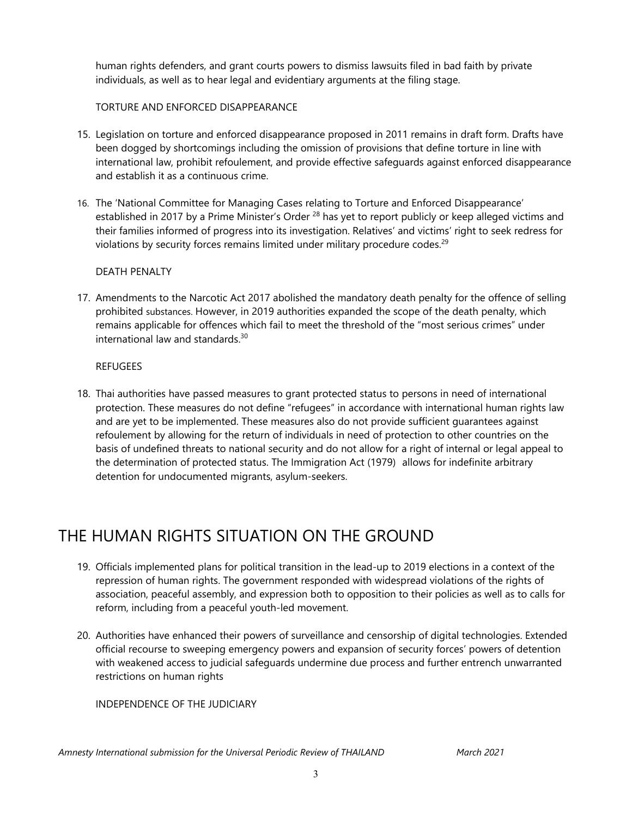human rights defenders, and gran<sup>t</sup> courts powers to dismiss lawsuits filed in bad faith by private individuals, as well as to hear legal and evidentiary arguments at the filing stage.

#### TORTURE AND ENFORCED DISAPPEARANCE

- 15. Legislation on torture and enforced disappearance proposed in 2011 remains in draft form. Drafts have been dogged by shortcomings including the omission of provisions that define torture in line with international law, prohibit refoulement, and provide effective safeguards against enforced disappearance and establish it as <sup>a</sup> continuous crime.
- 16. The 'National Committee for Managing Cases relating to Torture and Enforced Disappearance' established in 2017 by a Prime Minister's Order <sup>28</sup> has yet to report publicly or keep alleged victims and their families informed of progress into its investigation. Relatives' and victims' right to seek redress for violations by security forces remains limited under military procedure codes. 29

#### DEATH PENALTY

17. Amendments to the Narcotic Act 2017 abolished the mandatory death penalty for the offence of selling prohibited substances. However, in 2019 authorities expanded the scope of the death penalty, which remains applicable for offences which fail to meet the threshold of the "most serious crimes" under international law and standards.<sup>30</sup>

#### **REFUGEES**

18. Thai authorities have passed measures to gran<sup>t</sup> protected status to persons in need of international protection. These measures do not define "refugees" in accordance with international human rights law and are ye<sup>t</sup> to be implemented. These measures also do not provide sufficient guarantees against refoulement by allowing for the return of individuals in need of protection to other countries on the basis of undefined threats to national security and do not allow for <sup>a</sup> right of internal or legal appeal to the determination of protected status. The Immigration Act (1979) allows for indefinite arbitrary detention for undocumented migrants, asylum-seekers.

### THE HUMAN RIGHTS SITUATION ON THE GROUND

- 19. Officials implemented plans for political transition in the lead-up to 2019 elections in <sup>a</sup> context of the repression of human rights. The governmen<sup>t</sup> responded with widespread violations of the rights of association, peaceful assembly, and expression both to opposition to their policies as well as to calls for reform, including from <sup>a</sup> peaceful youth-led movement.
- 20. Authorities have enhanced their powers of surveillance and censorship of digital technologies. Extended official recourse to sweeping emergency powers and expansion of security forces' powers of detention with weakened access to judicial safeguards undermine due process and further entrench unwarranted restrictions on human rights

INDEPENDENCE OF THE JUDICIARY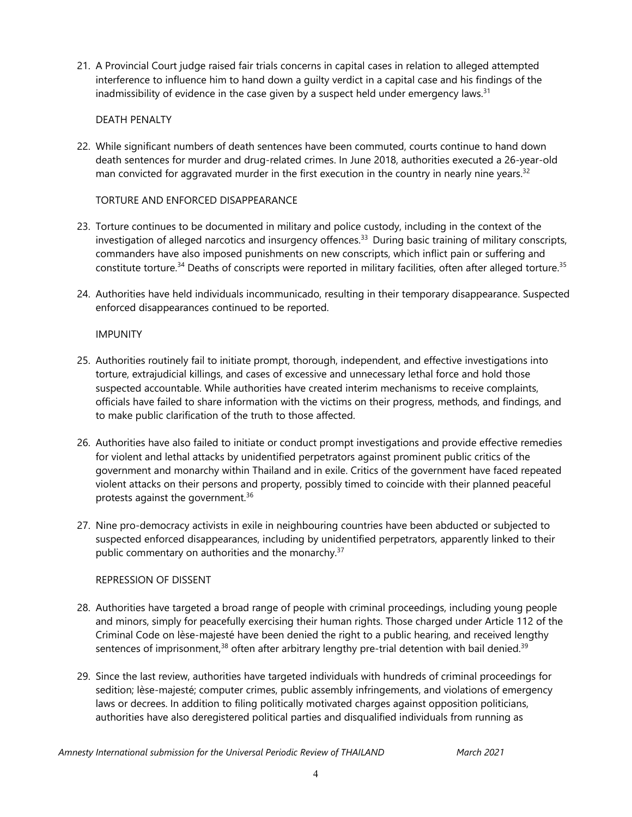21. A Provincial Court judge raised fair trials concerns in capital cases in relation to alleged attempted interference to influence him to hand down <sup>a</sup> guilty verdict in <sup>a</sup> capital case and his findings of the inadmissibility of evidence in the case given by a suspect held under emergency laws. $^{\text{31}}$ 

#### DEATH PENALTY

22. While significant numbers of death sentences have been commuted, courts continue to hand down death sentences for murder and drug-related crimes. In June 2018, authorities executed <sup>a</sup> 26-year-old man convicted for aggravated murder in the first execution in the country in nearly nine years. $^{\text{32}}$ 

#### TORTURE AND ENFORCED DISAPPEARANCE

- 23. Torture continues to be documented in military and police custody, including in the context of the investigation of alleged narcotics and insurgency offences. 33 During basic training of military conscripts, commanders have also imposed punishments on new conscripts, which inflict pain or suffering and constitute torture.<sup>34</sup> Deaths of conscripts were reported in military facilities, often after alleged torture.<sup>35</sup>
- 24. Authorities have held individuals incommunicado, resulting in their temporary disappearance. Suspected enforced disappearances continued to be reported.

#### IMPUNITY

- 25. Authorities routinely fail to initiate prompt, thorough, independent, and effective investigations into torture, extrajudicial killings, and cases of excessive and unnecessary lethal force and hold those suspected accountable. While authorities have created interim mechanisms to receive complaints, officials have failed to share information with the victims on their progress, methods, and findings, and to make public clarification of the truth to those affected.
- 26. Authorities have also failed to initiate or conduct prompt investigations and provide effective remedies for violent and lethal attacks by unidentified perpetrators against prominent public critics of the governmen<sup>t</sup> and monarchy within Thailand and in exile. Critics of the governmen<sup>t</sup> have faced repeated violent attacks on their persons and property, possibly timed to coincide with their planned peaceful protests against the government.<sup>36</sup>
- 27. Nine pro-democracy activists in exile in neighbouring countries have been abducted or subjected to suspected enforced disappearances, including by unidentified perpetrators, apparently linked to their public commentary on authorities and the monarchy. 37

#### REPRESSION OF DISSENT

- 28. Authorities have targeted <sup>a</sup> broad range of people with criminal proceedings, including young people and minors, simply for peacefully exercising their human rights. Those charged under Article 112 of the Criminal Code on lèse-majesté have been denied the right to <sup>a</sup> public hearing, and received lengthy sentences of imprisonment, $^{38}$  often after arbitrary lengthy pre-trial detention with bail denied. $^{39}$
- 29. Since the last review, authorities have targeted individuals with hundreds of criminal proceedings for sedition; lèse-majesté; computer crimes, public assembly infringements, and violations of emergency laws or decrees. In addition to filing politically motivated charges against opposition politicians, authorities have also deregistered political parties and disqualified individuals from running as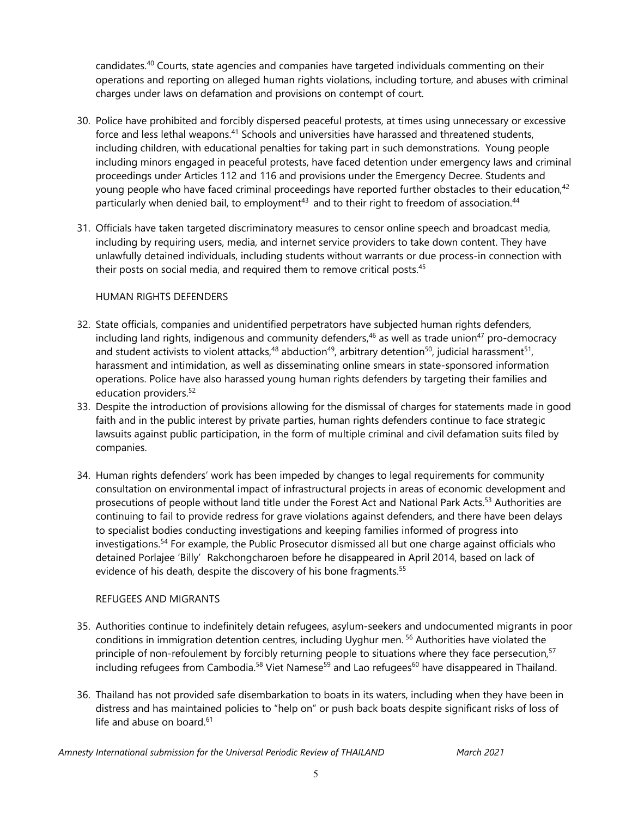candidates.<sup>40</sup> Courts, state agencies and companies have targeted individuals commenting on their operations and reporting on alleged human rights violations, including torture, and abuses with criminal charges under laws on defamation and provisions on contempt of court.

- 30. Police have prohibited and forcibly dispersed peaceful protests, at times using unnecessary or excessive force and less lethal weapons.<sup>41</sup> Schools and universities have harassed and threatened students, including children, with educational penalties for taking part in such demonstrations. Young people including minors engaged in peaceful protests, have faced detention under emergency laws and criminal proceedings under Articles 112 and 116 and provisions under the Emergency Decree. Students and young people who have faced criminal proceedings have reported further obstacles to their education, $^{42}$ particularly when denied bail, to employment<sup>43</sup> and to their right to freedom of association.<sup>44</sup>
- 31. Officials have taken targeted discriminatory measures to censor online speech and broadcast media, including by requiring users, media, and internet service providers to take down content. They have unlawfully detained individuals, including students without warrants or due process-in connection with their posts on social media, and required them to remove critical posts.<sup>45</sup>

#### HUMAN RIGHTS DEFENDERS

- 32. State officials, companies and unidentified perpetrators have subjected human rights defenders, including land rights, indigenous and community defenders, $^{46}$  as well as trade union $^{47}$  pro-democracy and student activists to violent attacks, $^{48}$  abduction $^{49}$ , arbitrary detention $^{50}$ , judicial harassment $^{51}$ , harassment and intimidation, as well as disseminating online smears in state-sponsored information operations. Police have also harassed young human rights defenders by targeting their families and education providers. 52
- 33. Despite the introduction of provisions allowing for the dismissal of charges for statements made in good faith and in the public interest by private parties, human rights defenders continue to face strategic lawsuits against public participation, in the form of multiple criminal and civil defamation suits filed by companies.
- 34. Human rights defenders' work has been impeded by changes to legal requirements for community consultation on environmental impact of infrastructural projects in areas of economic development and prosecutions of people without land title under the Forest Act and National Park Acts. 53 Authorities are continuing to fail to provide redress for grave violations against defenders, and there have been delays to specialist bodies conducting investigations and keeping families informed of progress into investigations.<sup>54</sup> For example, the Public Prosecutor dismissed all but one charge against officials who detained Porlajee 'Billy' Rakchongcharoen before he disappeared in April 2014, based on lack of evidence of his death, despite the discovery of his bone fragments. 55

#### REFUGEES AND MIGRANTS

- 35. Authorities continue to indefinitely detain refugees, asylum-seekers and undocumented migrants in poor conditions in immigration detention centres, including Uyghur men. <sup>56</sup> Authorities have violated the principle of non-refoulement by forcibly returning people to situations where they face persecution, 57 including refugees from Cambodia.<sup>58</sup> Viet Namese<sup>59</sup> and Lao refugees<sup>60</sup> have disappeared in Thailand.
- 36. Thailand has not provided safe disembarkation to boats in its waters, including when they have been in distress and has maintained policies to "help on" or push back boats despite significant risks of loss of life and abuse on board.<sup>61</sup>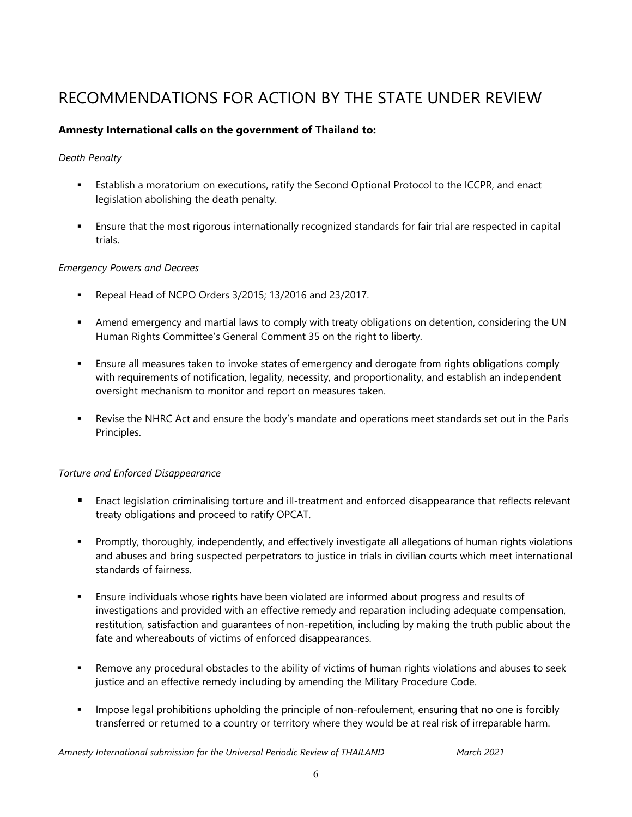# RECOMMENDATIONS FOR ACTION BY THE STATE UNDER REVIEW

#### **Amnesty International calls on the government of Thailand to:**

#### *Death Penalty*

- n Establish <sup>a</sup> moratorium on executions, ratify the Second Optional Protocol to the ICCPR, and enact legislation abolishing the death penalty.
- Ensure that the most rigorous internationally recognized standards for fair trial are respected in capital trials.

#### *Emergency Powers and Decrees*

- $\mathbf{u}$  . Repeal Head of NCPO Orders 3/2015; 13/2016 and 23/2017.
- Amend emergency and martial laws to comply with treaty obligations on detention, considering the UN Human Rights Committee'<sup>s</sup> General Comment 35 on the right to liberty.
- Ensure all measures taken to invoke states of emergency and derogate from rights obligations comply with requirements of notification, legality, necessity, and proportionality, and establish an independent oversight mechanism to monitor and report on measures taken.
- Revise the NHRC Act and ensure the body'<sup>s</sup> mandate and operations meet standards set out in the Paris Principles.

#### *Torture and Enforced Disappearance*

- Enact legislation criminalising torture and ill-treatment and enforced disappearance that reflects relevant treaty obligations and proceed to ratify OPCAT.
- $\mathbf{u} = \mathbf{u}$  Promptly, thoroughly, independently, and effectively investigate all allegations of human rights violations and abuses and bring suspected perpetrators to justice in trials in civilian courts which meet international standards of fairness.
- Ensure individuals whose rights have been violated are informed about progress and results of investigations and provided with an effective remedy and reparation including adequate compensation, restitution, satisfaction and guarantees of non-repetition, including by making the truth public about the fate and whereabouts of victims of enforced disappearances.
- $\mathbf{u}$  . Remove any procedural obstacles to the ability of victims of human rights violations and abuses to seek justice and an effective remedy including by amending the Military Procedure Code.
- $\mathbf{u} = \mathbf{0}$  Impose legal prohibitions upholding the principle of non-refoulement, ensuring that no one is forcibly transferred or returned to <sup>a</sup> country or territory where they would be at real risk of irreparable harm.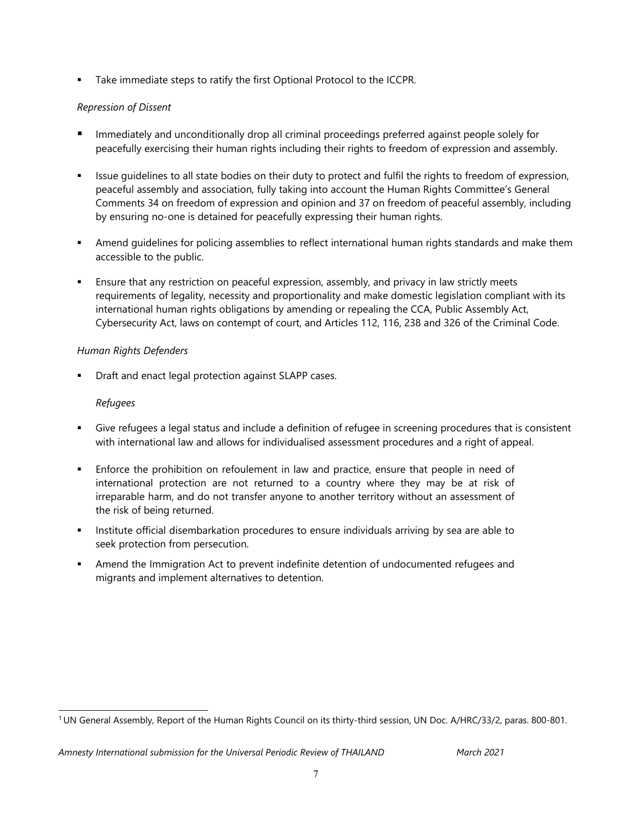**Take immediate steps to ratify the first Optional Protocol to the ICCPR.** 

#### *Repression of Dissent*

- Immediately and unconditionally drop all criminal proceedings preferred against people solely for peacefully exercising their human rights including their rights to freedom of expression and assembly.
- Issue guidelines to all state bodies on their duty to protect and fulfil the rights to freedom of expression, peaceful assembly and association, fully taking into account the Human Rights Committee'<sup>s</sup> General Comments 34 on freedom of expression and opinion and 37 on freedom of peaceful assembly, including by ensuring no-one is detained for peacefully expressing their human rights.
- Amend guidelines for policing assemblies to reflect international human rights standards and make them accessible to the public.
- Ensure that any restriction on peaceful expression, assembly, and privacy in law strictly meets requirements of legality, necessity and proportionality and make domestic legislation compliant with its international human rights obligations by amending or repealing the CCA, Public Assembly Act, Cybersecurity Act, laws on contempt of court, and Articles 112, 116, 238 and 326 of the Criminal Code.

#### *Human Rights Defenders*

П Draft and enact legal protection against SLAPP cases.

#### *Refugees*

- Give refugees <sup>a</sup> legal status and include <sup>a</sup> definition of refugee in screening procedures that is consistent with international law and allows for individualised assessment procedures and <sup>a</sup> right of appeal.
- Enforce the prohibition on refoulement in law and practice, ensure that people in need of international protection are not returned to <sup>a</sup> country where they may be at risk of irreparable harm, and do not transfer anyone to another territory without an assessment of the risk of being returned.
- **Institute official disembarkation procedures to ensure individuals arriving by sea are able to really** seek protection from persecution.
- Amend the Immigration Act to prevent indefinite detention of undocumented refugees and migrants and implement alternatives to detention.

<sup>1</sup> UN General Assembly, Report of the Human Rights Council on its thirty-third session, UN Doc. A/HRC/33/2, paras. 800-801.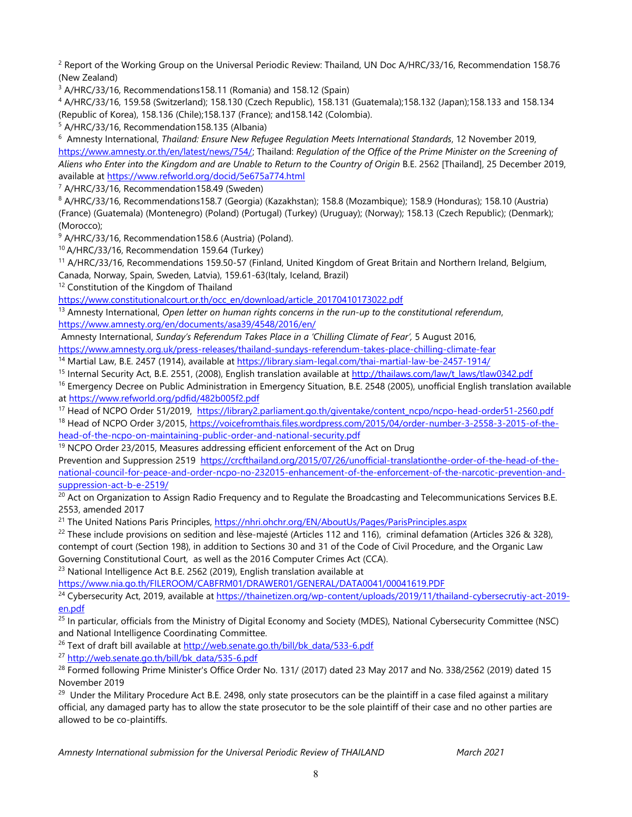2 Report of the Working Group on the Universal Periodic Review: Thailand, UN Doc A/HRC/33/16, Recommendation 158.76 (New Zealand)

<sup>3</sup> A/HRC/33/16, Recommendations158.11 (Romania) and 158.12 (Spain)

4 A/HRC/33/16, 159.58 (Switzerland); 158.130 (Czech Republic), 158.131 (Guatemala);158.132 (Japan);158.133 and 158.134 (Republic of Korea), 158.136 (Chile);158.137 (France); and158.142 (Colombia).

5 A/HRC/33/16, Recommendation158.135 (Albania)

6 Amnesty International, *Thailand: Ensure New Refugee Regulation Meets International Standards*, 12 November 2019, [https://www.amnesty.or.th/en/latest/news/754/;](https://www.amnesty.or.th/en/latest/news/754/) Thailand: *Regulation of the Office of the Prime Minister on the Screening of* Aliens who Enter into the Kingdom and are Unable to Return to the Country of Origin B.E. 2562 [Thailand], 25 December 2019, available at <https://www.refworld.org/docid/5e675a774.html>

7 A/HRC/33/16, Recommendation158.49 (Sweden)

8 A/HRC/33/16, Recommendations158.7 (Georgia) (Kazakhstan); 158.8 (Mozambique); 158.9 (Honduras); 158.10 (Austria) (France) (Guatemala) (Montenegro) (Poland) (Portugal) (Turkey) (Uruguay); (Norway); 158.13 (Czech Republic); (Denmark); (Morocco);

<sup>9</sup> A/HRC/33/16, Recommendation158.6 (Austria) (Poland).

10 A/HRC/33/16, Recommendation 159.64 (Turkey)

<sup>11</sup> A/HRC/33/16, Recommendations 159.50-57 (Finland, United Kingdom of Great Britain and Northern Ireland, Belgium, Canada, Norway, Spain, Sweden, Latvia), 159.61-63(Italy, Iceland, Brazil)

<sup>12</sup> Constitution of the Kingdom of Thailand

[https://www.constitutionalcourt.or.th/occ\\_en/download/article\\_20170410173022.pdf](https://www.constitutionalcourt.or.th/occ_en/download/article_20170410173022.pdf)

13 Amnesty International, *Open letter on human rights concerns in the run-up to the constitutional referendum*, <https://www.amnesty.org/en/documents/asa39/4548/2016/en/>

Amnesty International, *Sunday'<sup>s</sup> Referendum Takes Place in <sup>a</sup> 'Chilling Climate of Fear',* 5 August 2016,

<https://www.amnesty.org.uk/press-releases/thailand-sundays-referendum-takes-place-chilling-climate-fear>

<sup>14</sup> Martial Law, B.E. <sup>2457</sup> (1914), available at <https://library.siam-legal.com/thai-martial-law-be-2457-1914/>

<sup>15</sup> Internal Security Act, B.E. 2551, (2008), English translation available at <u>[http://thailaws.com/law/t\\_laws/tlaw0342.pdf](http://thailaws.com/law/t_laws/tlaw0342.pdf)</u>

<sup>16</sup> Emergency Decree on Public Administration in Emergency Situation, B.E. 2548 (2005), unofficial English translation available at <https://www.refworld.org/pdfid/482b005f2.pdf>

<sup>17</sup> Head of NCPO Order 51/2019, [https://library2.parliament.go.th/giventake/content\\_ncpo/ncpo-head-order51-2560.pdf](https://library2.parliament.go.th/giventake/content_ncpo/ncpo-head-order51-2560.pdf) <sup>18</sup> Head of NCPO Order 3/2015, [https://voicefromthais.files.wordpress.com/2015/04/order-number-3-2558-3-2015-of-the-](https://voicefromthais.files.wordpress.com/2015/04/order-number-3-2558-3-2015-of-the-head-of-the-ncpo-on-maintaining-public-order-and-national-security.pdf)

[head-of-the-ncpo-on-maintaining-public-order-and-national-security.pdf](https://voicefromthais.files.wordpress.com/2015/04/order-number-3-2558-3-2015-of-the-head-of-the-ncpo-on-maintaining-public-order-and-national-security.pdf)

<sup>19</sup> NCPO Order 23/2015, Measures addressing efficient enforcement of the Act on Drug

Prevention and Suppression 2519 [https://crcfthailand.org/2015/07/26/unofficial-translationthe-order-of-the-head-of-the](https://crcfthailand.org/2015/07/26/unofficial-translationthe-order-of-the-head-of-the-national-council-for-peace-and-order-ncpo-no-232015-enhancement-of-the-enforcement-of-the-narcotic-prevention-and-suppression-act-b-e-2519/)[national-council-for-peace-and-order-ncpo-no-232015-enhancement-of-the-enforcement-of-the-narcotic-prevention-and](https://crcfthailand.org/2015/07/26/unofficial-translationthe-order-of-the-head-of-the-national-council-for-peace-and-order-ncpo-no-232015-enhancement-of-the-enforcement-of-the-narcotic-prevention-and-suppression-act-b-e-2519/)suppress[ion-act-b-e-2519/](https://crcfthailand.org/2015/07/26/unofficial-translationthe-order-of-the-head-of-the-national-council-for-peace-and-order-ncpo-no-232015-enhancement-of-the-enforcement-of-the-narcotic-prevention-and-suppression-act-b-e-2519/)

 $^{20}$  Act on Organization to Assign Radio Frequency and to Regulate the Broadcasting and Telecommunications Services B.E. 2553, amended 2017

<sup>21</sup> The United Nations Paris Principles, <u><https://nhri.ohchr.org/EN/AboutUs/Pages/ParisPrinciples.aspx></u>

<sup>22</sup> These include provisions on sedition and lèse-majesté (Articles 112 and 116), criminal defamation (Articles 326 & 328), contempt of court (Section 198), in addition to Sections 30 and 31 of the Code of Civil Procedure, and the Organic Law Governing Constitutional Court, as well as the 2016 Computer Crimes Act (CCA).

<sup>23</sup> National Intelligence Act B.E. 2562 (2019), English translation available at

<https://www.nia.go.th/FILEROOM/CABFRM01/DRAWER01/GENERAL/DATA0041/00041619.PDF>

<sup>24</sup> Cybersecurity Act, 2019, available at <u>[https://thainetizen.org/wp-content/uploads/2019/11/thailand-cybersecrutiy-act-2019-](https://thainetizen.org/wp-content/uploads/2019/11/thailand-cybersecrutiy-act-2019-en.pdf)</u> [en.pdf](https://thainetizen.org/wp-content/uploads/2019/11/thailand-cybersecrutiy-act-2019-en.pdf)

<sup>25</sup> In particular, officials from the Ministry of Digital Economy and Society (MDES), National Cybersecurity Committee (NSC) and National Intelligence Coordinating Committee.

<sup>26</sup> Text of draft bill available at <u>[http://web.senate.go.th/bill/bk\\_data/533-6.pdf](http://web.senate.go.th/bill/bk_data/533-6.pdf)</u>

<sup>27</sup> [http://web.senate.go.th/bill/bk\\_data/535-6.pdf](http://web.senate.go.th/bill/bk_data/535-6.pdf)

<sup>28</sup> Formed following Prime Minister's Office Order No. 131/ (2017) dated 23 May 2017 and No. 338/2562 (2019) dated 15 November 2019

<sup>29</sup> Under the Military Procedure Act B.E. 2498, only state prosecutors can be the plaintiff in a case filed against a military official, any damaged party has to allow the state prosecutor to be the sole plaintiff of their case and no other parties are allowed to be co-plaintiffs.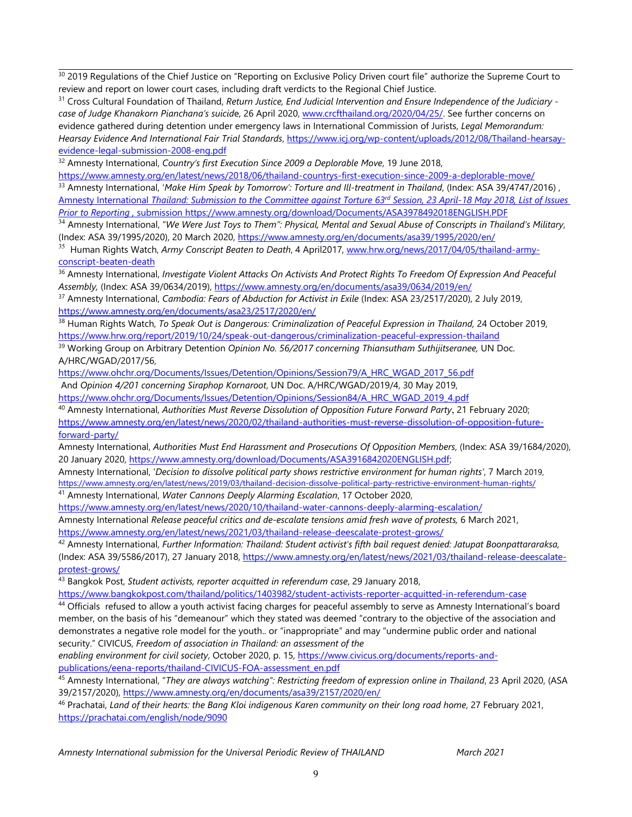$^{\rm 30}$  2019 Regulations of the Chief Justice on "Reporting on Exclusive Policy Driven court file" authorize the Supreme Court to review and report on lower court cases, including draft verdicts to the Regional Chief Justice.

31 Cross Cultural Foundation of Thailand, *Return Justice, End Judicial Intervention and Ensure Independence of the Judiciary case of Judge Khanakorn Pianchana'<sup>s</sup> suicid*e, 26 April 2020, [www.crcfthailand.org/2020/04/25/](http://www.crcfthailand.org/2020/04/25/). See further concerns on evidence gathered during detention under emergency laws in International Commission of Jurists, *Legal Memorandum: Hearsay Evidence And International Fair Trial Standards*, [https://www.icj.org/wp-content/uploads/2012/08/Thailand-hearsay](https://www.icj.org/wp-content/uploads/2012/08/Thailand-hearsay-evidence-legal-submission-2008-eng.pdf)[evidence-legal-submission-2008-eng.pdf](https://www.icj.org/wp-content/uploads/2012/08/Thailand-hearsay-evidence-legal-submission-2008-eng.pdf)

32 Amnesty International, *Country'<sup>s</sup> first Execution Since 2009 <sup>a</sup> Deplorable Move*, 19 June 2018,

<https://www.amnesty.org/en/latest/news/2018/06/thailand-countrys-first-execution-since-2009-a-deplorable-move/> 33 Amnesty International, '*Make Him Speak by Tomorrow': Torture and [Ill-treatment](https://www.amnesty.org/en/documents/asa39/4747/2016/en/) in Thailand*, (Index: ASA 39/4747/2016) , <u>Amnesty International Thailand: [Submission](https://www.amnesty.org/download/Documents/ASA3978492018ENGLISH.PDF) to the Committee against Torture 63<sup>rd</sup> Session, 23 April-18 May 2018, List of Issues</u>

*Prior to [Reporting](https://www.amnesty.org/download/Documents/ASA3978492018ENGLISH.PDF) ,* submission https://www.amnesty.org/download/Documents/ASA3978492018ENGLISH.PDF  $^{34}$  Amnesty International, "We Were Just Toys to Them": Physical, Mental and Sexual Abuse of Conscripts in Thailand's Military,

(Index: ASA 39/1995/2020), 20 March 2020, <https://www.amnesty.org/en/documents/asa39/1995/2020/en/>

35 Human Rights Watch, *Army Conscript Beaten to Death*, 4 April2017, [www.hrw.org/news/2017/04/05/thailand-army](http://www.hrw.org/news/2017/04/05/thailand-army-conscript-beaten-death)[conscript-beaten-death](http://www.hrw.org/news/2017/04/05/thailand-army-conscript-beaten-death)

36 Amnesty International, *Investigate Violent Attacks On Activists And Protect Rights To Freedom Of Expression And Peaceful Assembly,* (Index: ASA 39/0634/2019), <https://www.amnesty.org/en/documents/asa39/0634/2019/en/>

37 Amnesty International, *Cambodia: Fears of Abduction for Activist in Exile* (Index: ASA 23/2517/2020), 2 July 2019, <https://www.amnesty.org/en/documents/asa23/2517/2020/en/>

38 Human Rights Watch, *To Speak Out is Dangerous: Criminalization of Peaceful Expression in Thailand,* 24 October 2019, <https://www.hrw.org/report/2019/10/24/speak-out-dangerous/criminalization-peaceful-expression-thailand>

<sup>39</sup> Working Group on Arbitrary Detention *Opinion No. 56/2017 concerning Thiansutham Suthijitseranee,* UN Doc. A/HRC/WGAD/2017/56,

[https://www.ohchr.org/Documents/Issues/Detention/Opinions/Session79/A\\_HRC\\_WGAD\\_2017\\_56.pdf](https://www.ohchr.org/Documents/Issues/Detention/Opinions/Session79/A_HRC_WGAD_2017_56.pdf)

And *Opinion 4/201 concerning Siraphop Kornaroot*, UN Doc. A/HRC/WGAD/2019/4, 30 May 2019,

[https://www.ohchr.org/Documents/Issues/Detention/Opinions/Session84/A\\_HRC\\_WGAD\\_2019\\_4.pdf](https://www.ohchr.org/Documents/Issues/Detention/Opinions/Session84/A_HRC_WGAD_2019_4.pdf)

40 Amnesty International, *Authorities Must Reverse Dissolution of Opposition Future Forward Party*, 21 February 2020;

[https://www.amnesty.org/en/latest/news/2020/02/thailand-authorities-must-reverse-dissolution-of-opposition-future](https://www.amnesty.org/en/latest/news/2020/02/thailand-authorities-must-reverse-dissolution-of-opposition-future-forward-party/)[forward-party/](https://www.amnesty.org/en/latest/news/2020/02/thailand-authorities-must-reverse-dissolution-of-opposition-future-forward-party/)

Amnesty International, *Authorities Must End Harassment and Prosecutions Of Opposition Members*, (Index: ASA 39/1684/2020), 20 January 2020, [https://www.amnesty.org/download/Documents/ASA3916842020ENGLISH.pdf;](https://www.amnesty.org/download/Documents/ASA3916842020ENGLISH.pdf)

Amnesty International, '*Decision to dissolve political party shows restrictive environment for human rights'*, 7 March 2019, <https://www.amnesty.org/en/latest/news/2019/03/thailand-decision-dissolve-political-party-restrictive-environment-human-rights/> 41 Amnesty International, *Water Cannons Deeply Alarming Escalation*, 17 October 2020,

<https://www.amnesty.org/en/latest/news/2020/10/thailand-water-cannons-deeply-alarming-escalation/>

Amnesty International *Release peaceful critics and de-escalate tensions amid fresh wave of protests,* 6 March 2021, <https://www.amnesty.org/en/latest/news/2021/03/thailand-release-deescalate-protest-grows/>

42 Amnesty International, *Further Information: Thailand: Student activist's fifth bail reques<sup>t</sup> denied: Jatupat Boonpattararaksa,* (Index: ASA 39/5586/2017), 27 January 2018, [https://www.amnesty.org/en/latest/news/2021/03/thailand-release-deescalate](https://www.amnesty.org/en/latest/news/2021/03/thailand-release-deescalate-protest-grows/)[protest-grows/](https://www.amnesty.org/en/latest/news/2021/03/thailand-release-deescalate-protest-grows/)

43 Bangkok Post, *Student activists, reporter acquitted in referendum case*, 29 January 2018,

<https://www.bangkokpost.com/thailand/politics/1403982/student-activists-reporter-acquitted-in-referendum-case>

<sup>44</sup> Officials refused to allow a youth activist facing charges for peaceful assembly to serve as Amnesty International's board member, on the basis of his "demeanour" which they stated was deemed "contrary to the objective of the association and demonstrates <sup>a</sup> negative role model for the youth.. or "inappropriate" and may "undermine public order and national security." CIVICUS, *Freedom of association in Thailand: an assessment of the*

*enabling environment for civil society*, October 2020, p. 15, [https://www.civicus.org/documents/reports-and](https://www.civicus.org/documents/reports-and-publications/eena-reports/thailand-CIVICUS-FOA-assessment_en.pdf)[publications/eena-reports/thailand-CIVICUS-FOA-assessment\\_en.pdf](https://www.civicus.org/documents/reports-and-publications/eena-reports/thailand-CIVICUS-FOA-assessment_en.pdf)

45 Amnesty International, "*They are always watching": Restricting freedom of expression online in Thailand*, 23 April 2020, (ASA 39/2157/2020), <https://www.amnesty.org/en/documents/asa39/2157/2020/en/>

46 Prachatai, *Land of their hearts: the Bang Kloi indigenous Karen community on their long road home*, 27 February 2021, <https://prachatai.com/english/node/9090>

*Amnesty International submission for the Universal Periodic Review of THAILAND March 2021*